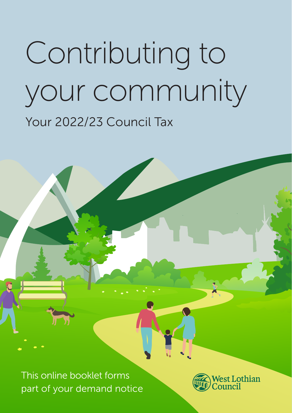# Your 2022/23 Council Tax Contributing to your community

westlothian.gov.uk **11 million of the control of the control** of the control of the control of the control of the control of the control of the control of the control of the control of the control of the control of the con This online booklet forms part of your demand notice

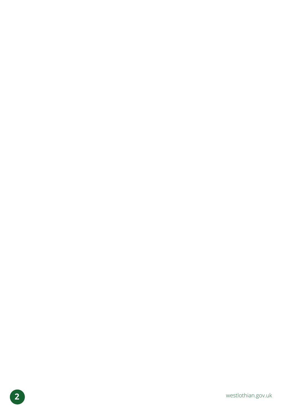westlothian.gov.uk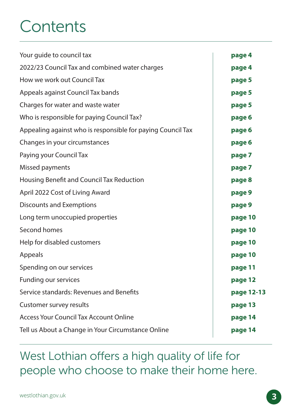# **Contents**

| Your guide to council tax                                   | page 4     |
|-------------------------------------------------------------|------------|
| 2022/23 Council Tax and combined water charges              | page 4     |
| How we work out Council Tax                                 | page 5     |
| Appeals against Council Tax bands                           | page 5     |
| Charges for water and waste water                           | page 5     |
| Who is responsible for paying Council Tax?                  | page 6     |
| Appealing against who is responsible for paying Council Tax | page 6     |
| Changes in your circumstances                               | page 6     |
| Paying your Council Tax                                     | page 7     |
| Missed payments                                             | page 7     |
| Housing Benefit and Council Tax Reduction                   | page 8     |
| April 2022 Cost of Living Award                             | page 9     |
| <b>Discounts and Exemptions</b>                             | page 9     |
| Long term unoccupied properties                             | page 10    |
| Second homes                                                | page 10    |
| Help for disabled customers                                 | page 10    |
| Appeals                                                     | page 10    |
| Spending on our services                                    | page 11    |
| Funding our services                                        | page 12    |
| Service standards: Revenues and Benefits                    | page 12-13 |
| Customer survey results                                     | page 13    |
| <b>Access Your Council Tax Account Online</b>               | page 14    |
| Tell us About a Change in Your Circumstance Online          | page 14    |
|                                                             |            |

West Lothian offers a high quality of life for people who choose to make their home here.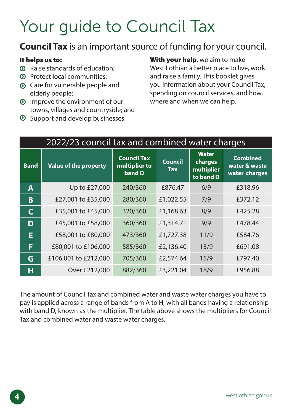# Your guide to Council Tax

#### **Council Tax** is an important source of funding for your council.

#### It helps us to:

- Raise standards of education;
- Protect local communities;
- Care for vulnerable people and elderly people;
- Improve the environment of our towns, villages and countryside; and
- Support and develop businesses.

With your help, we aim to make West Lothian a better place to live, work and raise a family. This booklet gives you information about your Council Tax, spending on council services, and how, where and when we can help.

| 2022/23 council tax and combined water charges |                              |                                               |                              |                                                    |                                                   |
|------------------------------------------------|------------------------------|-----------------------------------------------|------------------------------|----------------------------------------------------|---------------------------------------------------|
| <b>Band</b>                                    | <b>Value of the property</b> | <b>Council Tax</b><br>multiplier to<br>band D | <b>Council</b><br><b>Tax</b> | <b>Water</b><br>charges<br>multiplier<br>to band D | <b>Combined</b><br>water & waste<br>water charges |
| A                                              | Up to £27,000                | 240/360                                       | £876.47                      | 6/9                                                | £318.96                                           |
| B                                              | £27,001 to £35,000           | 280/360                                       | £1,022.55                    | 7/9                                                | £372.12                                           |
| $\mathsf{C}$                                   | £35,001 to £45,000           | 320/360                                       | £1,168.63                    | 8/9                                                | £425.28                                           |
| D                                              | £45,001 to £58,000           | 360/360                                       | £1,314.71                    | 9/9                                                | £478.44                                           |
| E                                              | £58,001 to £80,000           | 473/360                                       | £1,727.38                    | 11/9                                               | £584.76                                           |
| F                                              | £80,001 to £106,000          | 585/360                                       | £2,136.40                    | 13/9                                               | £691.08                                           |
| G                                              | £106,001 to £212,000         | 705/360                                       | £2,574.64                    | 15/9                                               | £797.40                                           |
| н                                              | Over £212,000                | 882/360                                       | £3,221.04                    | 18/9                                               | £956.88                                           |

The amount of Council Tax and combined water and waste water charges you have to pay is applied across a range of bands from A to H, with all bands having a relationship with band D, known as the multiplier. The table above shows the multipliers for Council Tax and combined water and waste water charges.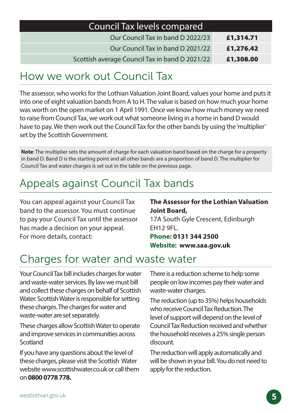| Council Tax levels compared                    |           |
|------------------------------------------------|-----------|
| Our Council Tax in band D 2022/23              | £1,314,71 |
| Our Council Tax in band D 2021/22              | £1,276.42 |
| Scottish average Council Tax in band D 2021/22 | £1,308.00 |

### How we work out Council Tax

The assessor, who works for the Lothian Valuation Joint Board, values your home and puts it into one of eight valuation bands from A to H. The value is based on how much your home was worth on the open market on 1 April 1991. Once we know how much money we need to raise from Council Tax, we work out what someone living in a home in band D would have to pay. We then work out the Council Tax for the other bands by using the 'multiplier' set by the Scottish Government.

**Note**: The multiplier sets the amount of charge for each valuation band based on the charge for a property in band D. Band D is the starting point and all other bands are a proportion of band D. The multiplier for Council Tax and water charges is set out in the table on the previous page.

### Appeals against Council Tax bands

You can appeal against your Council Tax band to the assessor. You must continue to pay your Council Tax until the assessor has made a decision on your appeal. For more details, contact:

**The Assessor for the Lothian Valuation Joint Board,** 17A South Gyle Crescent, Edinburgh EH12 9FL. **Phone: 0131 344 2500 Website: www.saa.gov.uk**

### Charges for water and waste water

Your Council Tax bill includes charges for water and waste-water services. By law we must bill and collect these charges on behalf of Scottish Water. Scottish Water is responsible for setting these charges. The charges for water and waste-water are set separately.

These charges allow Scottish Water to operate and improve services in communities across **Scotland** 

If you have any questions about the level of these charges, please visit the Scottish Water website www.scottishwater.co.uk or call them on **0800 0778 778.**

There is a reduction scheme to help some people on low incomes pay their water and waste-water charges.

The reduction (up to 35%) helps households who receive Council Tax Reduction. The level of support will depend on the level of Council Tax Reduction received and whether the household receives a 25% single person discount.

The reduction will apply automatically and will be shown in your bill. You do not need to apply for the reduction.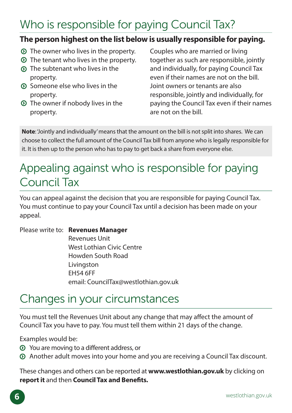### Who is responsible for paying Council Tax?

#### **The person highest on the list below is usually responsible for paying.**

- $\odot$  The owner who lives in the property.
- $\odot$  The tenant who lives in the property.
- The subtenant who lives in the property.
- Someone else who lives in the property.
- The owner if nobody lives in the property.

Couples who are married or living together as such are responsible, jointly and individually, for paying Council Tax even if their names are not on the bill. Joint owners or tenants are also responsible, jointly and individually, for paying the Council Tax even if their names are not on the bill.

**Note**: 'Jointly and individually' means that the amount on the bill is not split into shares. We can choose to collect the full amount of the Council Tax bill from anyone who is legally responsible for it. It is then up to the person who has to pay to get back a share from everyone else.

### Appealing against who is responsible for paying Council Tax

You can appeal against the decision that you are responsible for paying Council Tax. You must continue to pay your Council Tax until a decision has been made on your appeal.

Please write to: **Revenues Manager**

 Revenues Unit West Lothian Civic Centre Howden South Road Livingston EH54 6FF email: CouncilTax@westlothian.gov.uk

### Changes in your circumstances

You must tell the Revenues Unit about any change that may affect the amount of Council Tax you have to pay. You must tell them within 21 days of the change.

Examples would be:

- You are moving to a different address, or
- Another adult moves into your home and you are receiving a Council Tax discount.

These changes and others can be reported at **www.westlothian.gov.uk** by clicking on **report it** and then **Council Tax and Benefits.**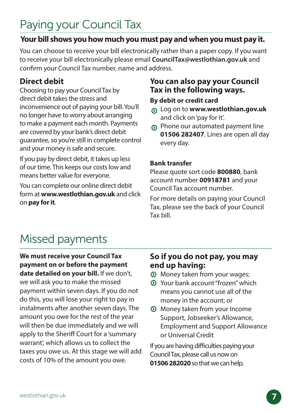### Paying your Council Tax

#### **Your bill shows you how much you must pay and when you must pay it.**

You can choose to receive your bill electronically rather than a paper copy. If you want to receive your bill electronically please email **CouncilTax@westlothian.gov.uk** and confirm your Council Tax number, name and address.

#### **Direct debit**

Choosing to pay your Council Tax by direct debit takes the stress and inconvenience out of paying your bill. You'll no longer have to worry about arranging to make a payment each month. Payments are covered by your bank's direct debit guarantee, so you're still in complete control and your money is safe and secure.

If you pay by direct debit, it takes up less of our time. This keeps our costs low and means better value for everyone.

You can complete our online direct debit form at **www.westlothian.gov.uk** and click on **pay for it**.

#### **You can also pay your Council Tax in the following ways.**

#### **By debit or credit card**

- Log on to **www.westlothian.gov.uk** and click on 'pay for it'.
- Phone our automated payment line **01506 282407**. Lines are open all day every day.

#### **Bank transfer**

Please quote sort code **800880**, bank account number **00918781** and your Council Tax account number.

For more details on paying your Council Tax, please see the back of your Council Tax bill.

### Missed payments

#### **We must receive your Council Tax payment on or before the payment**

**date detailed on your bill.** If we don't, we will ask you to make the missed payment within seven days. If you do not do this, you will lose your right to pay in instalments after another seven days. The amount you owe for the rest of the year will then be due immediately and we will apply to the Sheriff Court for a 'summary warrant', which allows us to collect the taxes you owe us. At this stage we will add costs of 10% of the amount you owe.

#### **So if you do not pay, you may end up having:**

- Money taken from your wages;
- Your bank account "frozen" which means you cannot use all of the money in the account; or
- Money taken from your Income Support, Jobseeker's Allowance, Employment and Support Allowance or Universal Credit

If you are having difficulties paying your Council Tax, please call us now on **01506 282020** so that we can help.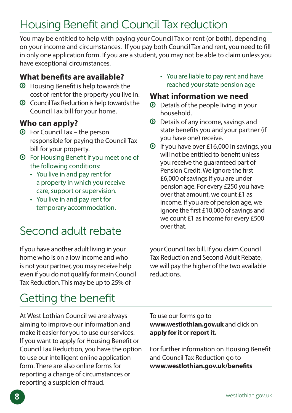### Housing Benefit and Council Tax reduction

You may be entitled to help with paying your Council Tax or rent (or both), depending on your income and circumstances. If you pay both Council Tax and rent, you need to fill in only one application form. If you are a student, you may not be able to claim unless you have exceptional circumstances.

#### **What benefits are available?**

- Housing Benefit is help towards the cost of rent for the property you live in.
- Council Tax Reduction is help towards the Council Tax bill for your home.

#### **Who can apply?**

- For Council Tax the person responsible for paying the Council Tax bill for your property.
- For Housing Benefit if you meet one of the following conditions:
	- You live in and pay rent for a property in which you receive care, support or supervision.
	- You live in and pay rent for temporary accommodation.

#### • You are liable to pay rent and have reached your state pension age

#### **What information we need**

- Details of the people living in your household.
- $\odot$  Details of any income, savings and state benefits you and your partner (if you have one) receive.
- $\odot$  If you have over £16,000 in savings, you will not be entitled to benefit unless you receive the guaranteed part of Pension Credit. We ignore the first £6,000 of savings if you are under pension age. For every £250 you have over that amount, we count £1 as income. If you are of pension age, we ignore the first £10,000 of savings and we count £1 as income for every £500 over that.

### Second adult rebate

If you have another adult living in your home who is on a low income and who is not your partner, you may receive help even if you do not qualify for main Council Tax Reduction. This may be up to 25% of

your Council Tax bill. If you claim Council Tax Reduction and Second Adult Rebate, we will pay the higher of the two available reductions.

### Getting the benefit

At West Lothian Council we are always aiming to improve our information and make it easier for you to use our services. If you want to apply for Housing Benefit or Council Tax Reduction, you have the option to use our intelligent online application form. There are also online forms for reporting a change of circumstances or reporting a suspicion of fraud.

To use our forms go to **www.westlothian.gov.uk** and click on **apply for it** or **report it.**

For further information on Housing Benefit and Council Tax Reduction go to **www.westlothian.gov.uk/benefits**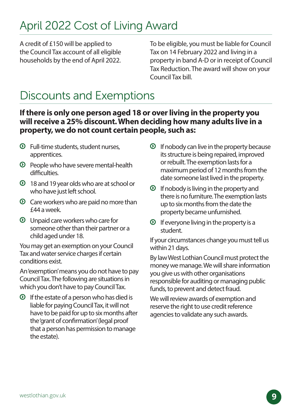### April 2022 Cost of Living Award

A credit of £150 will be applied to the Council Tax account of all eligible households by the end of April 2022.

To be eligible, you must be liable for Council Tax on 14 February 2022 and living in a property in band A-D or in receipt of Council Tax Reduction. The award will show on your Council Tax bill.

### Discounts and Exemptions

**If there is only one person aged 18 or over living in the property you will receive a 25% discount. When deciding how many adults live in a property, we do not count certain people, such as:**

- Full-time students, student nurses, apprentices.
- <sup>2</sup> People who have severe mental-health difficulties.
- 18 and 19 year olds who are at school or who have just left school.
- $\odot$  Care workers who are paid no more than £44 a week.
- Unpaid care workers who care for someone other than their partner or a child aged under 18.

You may get an exemption on your Council Tax and water service charges if certain conditions exist.

An 'exemption' means you do not have to pay Council Tax. The following are situations in which you don't have to pay Council Tax.

 $\odot$  If the estate of a person who has died is liable for paying Council Tax, it will not have to be paid for up to six months after the 'grant of confirmation' (legal proof that a person has permission to manage the estate).

- $\odot$  If nobody can live in the property because its structure is being repaired, improved or rebuilt. The exemption lasts for a maximum period of 12 months from the date someone last lived in the property.
- $\odot$  If nobody is living in the property and there is no furniture. The exemption lasts up to six months from the date the property became unfurnished.
- $\odot$  If everyone living in the property is a student.

If your circumstances change you must tell us within 21 days.

By law West Lothian Council must protect the money we manage. We will share information you give us with other organisations responsible for auditing or managing public funds, to prevent and detect fraud.

We will review awards of exemption and reserve the right to use credit reference agencies to validate any such awards.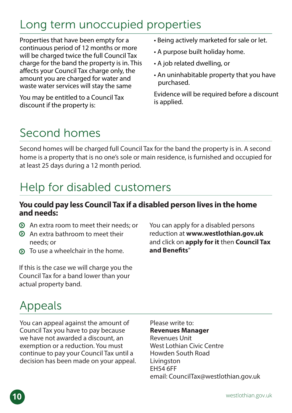### Long term unoccupied properties

Properties that have been empty for a continuous period of 12 months or more will be charged twice the full Council Tax charge for the band the property is in. This affects your Council Tax charge only, the amount you are charged for water and waste water services will stay the same

You may be entitled to a Council Tax discount if the property is:

- Being actively marketed for sale or let.
- A purpose built holiday home.
- A job related dwelling, or
- An uninhabitable property that you have purchased.

Evidence will be required before a discount is applied.

### Second homes

Second homes will be charged full Council Tax for the band the property is in. A second home is a property that is no one's sole or main residence, is furnished and occupied for at least 25 days during a 12 month period.

### Help for disabled customers

#### **You could pay less Council Tax if a disabled person lives in the home and needs:**

- An extra room to meet their needs; or
- An extra bathroom to meet their needs; or
- To use a wheelchair in the home.

If this is the case we will charge you the Council Tax for a band lower than your actual property band.

### Appeals

You can appeal against the amount of Council Tax you have to pay because we have not awarded a discount, an exemption or a reduction. You must continue to pay your Council Tax until a decision has been made on your appeal.

Please write to: **Revenues Manager** Revenues Unit West Lothian Civic Centre Howden South Road Livingston EH54 6FF email: CouncilTax@westlothian.gov.uk

You can apply for a disabled persons reduction at **www.westlothian.gov.uk**  and click on **apply for it** then **Council Tax** 

**and Benefits**"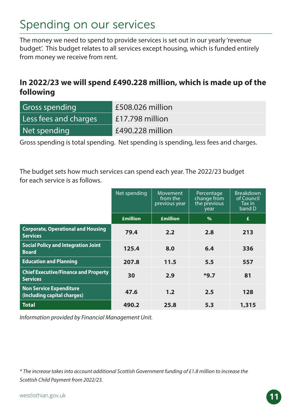### Spending on our services

The money we need to spend to provide services is set out in our yearly 'revenue budget'. This budget relates to all services except housing, which is funded entirely from money we receive from rent.

#### **In 2022/23 we will spend £490.228 million, which is made up of the following**

| <b>Gross spending</b> | £508,026 million |
|-----------------------|------------------|
| Less fees and charges | £17.798 million  |
| Net spending          | £490.228 million |

Gross spending is total spending. Net spending is spending, less fees and charges.

The budget sets how much services can spend each year. The 2022/23 budget for each service is as follows.

|                                                                | Net spending    | <b>Movement</b><br>from the<br>previous year | Percentage<br>change from<br>the previous<br>year | <b>Breakdown</b><br>of Council<br>Tax in<br>band D |
|----------------------------------------------------------------|-----------------|----------------------------------------------|---------------------------------------------------|----------------------------------------------------|
|                                                                | <b>£million</b> | <b>£million</b>                              | $\%$                                              | £                                                  |
| <b>Corporate, Operational and Housing</b><br><b>Services</b>   | 79.4            | 2.2                                          | 2.8                                               | 213                                                |
| <b>Social Policy and Integration Joint</b><br><b>Board</b>     | 125.4           | 8.0                                          | 6.4                                               | 336                                                |
| <b>Education and Planning</b>                                  | 207.8           | 11.5                                         | 5.5                                               | 557                                                |
| <b>Chief Executive/Finance and Property</b><br><b>Services</b> | 30              | 2.9                                          | $*9.7$                                            | 81                                                 |
| <b>Non Service Expenditure</b><br>(Including capital charges)  | 47.6            | 1.2                                          | 2.5                                               | 128                                                |
| <b>Total</b>                                                   | 490.2           | 25.8                                         | 5.3                                               | 1,315                                              |

*Information provided by Financial Management Unit.*

*\* The increase takes into account additional Scottish Government funding of £1.8 million to increase the Scottish Child Payment from 2022/23.*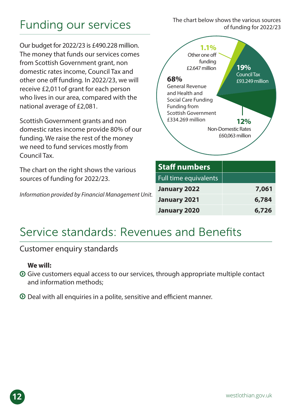### Funding our services

Our budget for 2022/23 is £490.228 million. The money that funds our services comes from Scottish Government grant, non domestic rates income, Council Tax and other one off funding. In 2022/23, we will receive £2,011of grant for each person who lives in our area, compared with the national average of £2,081.

Scottish Government grants and non domestic rates income provide 80% of our funding. We raise the rest of the money we need to fund services mostly from Council Tax.

The chart on the right shows the various sources of funding for 2022/23.

*Information provided by Financial Management Unit.*



| <b>Staff numbers</b>         |       |
|------------------------------|-------|
| <b>Full time equivalents</b> |       |
| <b>January 2022</b>          | 7,061 |
| January 2021                 | 6,784 |
| <b>January 2020</b>          | 6,726 |

### Service standards: Revenues and Benefits

#### Customer enquiry standards

#### **We will:**

- Give customers equal access to our services, through appropriate multiple contact and information methods;
- Deal with all enquiries in a polite, sensitive and efficient manner.

of funding for 2022/23

The chart below shows the various sources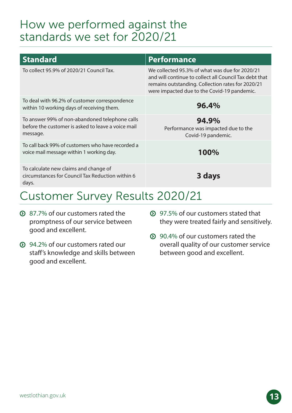### How we performed against the standards we set for 2020/21

| <b>Standard</b>                                                                                                  | <b>Performance</b>                                                                                                                                                                                           |  |
|------------------------------------------------------------------------------------------------------------------|--------------------------------------------------------------------------------------------------------------------------------------------------------------------------------------------------------------|--|
| To collect 95.9% of 2020/21 Council Tax.                                                                         | We collected 95.3% of what was due for 2020/21<br>and will continue to collect all Council Tax debt that<br>remains outstanding. Collection rates for 2020/21<br>were impacted due to the Covid-19 pandemic. |  |
| To deal with 96.2% of customer correspondence<br>within 10 working days of receiving them.                       | 96.4%                                                                                                                                                                                                        |  |
| To answer 99% of non-abandoned telephone calls<br>before the customer is asked to leave a voice mail<br>message. | 94.9%<br>Performance was impacted due to the<br>Covid-19 pandemic.                                                                                                                                           |  |
| To call back 99% of customers who have recorded a<br>voice mail message within 1 working day.                    | 100%                                                                                                                                                                                                         |  |
| To calculate new claims and change of<br>circumstances for Council Tax Reduction within 6<br>days.               | 3 days                                                                                                                                                                                                       |  |
| Customer Survey Results 2020/21                                                                                  |                                                                                                                                                                                                              |  |

- 87.7% of our customers rated the promptness of our service between good and excellent.
- 94.2% of our customers rated our staff's knowledge and skills between good and excellent.
- 97.5% of our customers stated that they were treated fairly and sensitively.
- 90.4% of our customers rated the overall quality of our customer service between good and excellent.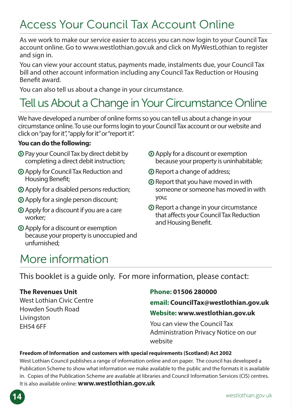### Access Your Council Tax Account Online

As we work to make our service easier to access you can now login to your Council Tax account online. Go to www.westlothian.gov.uk and click on MyWestLothian to register and sign in.

You can view your account status, payments made, instalments due, your Council Tax bill and other account information including any Council Tax Reduction or Housing Benefit award.

You can also tell us about a change in your circumstance.

### Tell us About a Change in Your Circumstance Online

We have developed a number of online forms so you can tell us about a change in your circumstance online. To use our forms login to your Council Tax account or our website and click on "pay for it", "apply for it" or "report it".

#### **You can do the following:**

- Pay your Council Tax by direct debit by completing a direct debit instruction;
- Apply for Council Tax Reduction and Housing Benefit;
- Apply for a disabled persons reduction;
- Apply for a single person discount;
- Apply for a discount if you are a care worker;
- Apply for a discount or exemption because your property is unoccupied and unfurnished;
- Apply for a discount or exemption because your property is uninhabitable;
- Report a change of address;
- Report that you have moved in with someone or someone has moved in with you;
- Report a change in your circumstance that affects your Council Tax Reduction and Housing Benefit.

### More information

This booklet is a guide only. For more information, please contact:

#### **The Revenues Unit**

West Lothian Civic Centre Howden South Road Livingston EH54 6FF

#### **Phone: 01506 280000**

#### **email: CouncilTax@westlothian.gov.uk Website: www.westlothian.gov.uk**

You can view the Council Tax Administration Privacy Notice on our website

#### **Freedom of Information and customers with special requirements (Scotland) Act 2002**

West Lothian Council publishes a range of information online and on paper. The council has developed a Publication Scheme to show what information we make available to the public and the formats it is available in. Copies of the Publication Scheme are available at libraries and Council Information Services (CIS) centres. It is also available online: **www.westlothian.gov.uk**